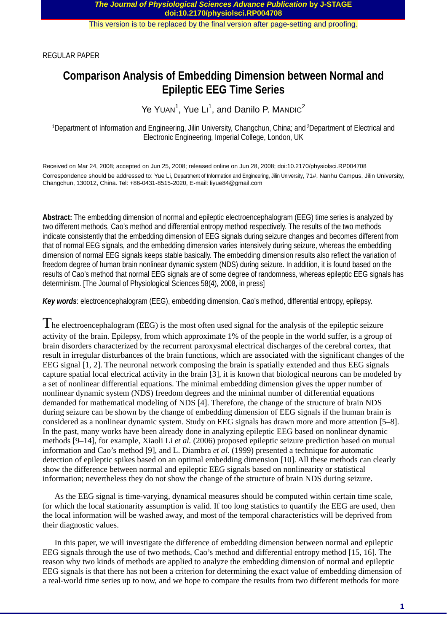REGULAR PAPER

# **Comparison Analysis of Embedding Dimension between Normal and Epileptic EEG Time Series**

## Ye Yuan<sup>1</sup>, Yue  $Li<sup>1</sup>$ , and Danilo P. Mandic<sup>2</sup>

1Department of Information and Engineering, Jilin University, Changchun, China; and 2Department of Electrical and Electronic Engineering, Imperial College, London, UK

Received on Mar 24, 2008; accepted on Jun 25, 2008; released online on Jun 28, 2008; doi:10.2170/physiolsci.RP004708 Correspondence should be addressed to: Yue Li, Department of Information and Engineering, Jilin University, 71#, Nanhu Campus, Jilin University, Changchun, 130012, China. Tel: +86-0431-8515-2020, E-mail: liyue84@gmail.com

**Abstract:** The embedding dimension of normal and epileptic electroencephalogram (EEG) time series is analyzed by two different methods, Cao's method and differential entropy method respectively. The results of the two methods indicate consistently that the embedding dimension of EEG signals during seizure changes and becomes different from that of normal EEG signals, and the embedding dimension varies intensively during seizure, whereas the embedding dimension of normal EEG signals keeps stable basically. The embedding dimension results also reflect the variation of freedom degree of human brain nonlinear dynamic system (NDS) during seizure. In addition, it is found based on the results of Cao's method that normal EEG signals are of some degree of randomness, whereas epileptic EEG signals has determinism. [The Journal of Physiological Sciences 58(4), 2008, in press]

*Key words*: electroencephalogram (EEG), embedding dimension, Cao's method, differential entropy, epilepsy.

The electroencephalogram (EEG) is the most often used signal for the analysis of the epileptic seizure activity of the brain. Epilepsy, from which approximate 1% of the people in the world suffer, is a group of brain disorders characterized by the recurrent paroxysmal electrical discharges of the cerebral cortex, that result in irregular disturbances of the brain functions, which are associated with the significant changes of the EEG signal [1, 2]. The neuronal network composing the brain is spatially extended and thus EEG signals capture spatial local electrical activity in the brain [3], it is known that biological neurons can be modeled by a set of nonlinear differential equations. The minimal embedding dimension gives the upper number of nonlinear dynamic system (NDS) freedom degrees and the minimal number of differential equations demanded for mathematical modeling of NDS [4]. Therefore, the change of the structure of brain NDS during seizure can be shown by the change of embedding dimension of EEG signals if the human brain is considered as a nonlinear dynamic system. Study on EEG signals has drawn more and more attention [5–8]. In the past, many works have been already done in analyzing epileptic EEG based on nonlinear dynamic methods [9–14], for example, Xiaoli Li *et al.* (2006) proposed epileptic seizure prediction based on mutual information and Cao's method [9], and L. Diambra *et al.* (1999) presented a technique for automatic detection of epileptic spikes based on an optimal embedding dimension [10]. All these methods can clearly show the difference between normal and epileptic EEG signals based on nonlinearity or statistical information; nevertheless they do not show the change of the structure of brain NDS during seizure.

As the EEG signal is time-varying, dynamical measures should be computed within certain time scale, for which the local stationarity assumption is valid. If too long statistics to quantify the EEG are used, then the local information will be washed away, and most of the temporal characteristics will be deprived from their diagnostic values.

In this paper, we will investigate the difference of embedding dimension between normal and epileptic EEG signals through the use of two methods, Cao's method and differential entropy method [15, 16]. The reason why two kinds of methods are applied to analyze the embedding dimension of normal and epileptic EEG signals is that there has not been a criterion for determining the exact value of embedding dimension of a real-world time series up to now, and we hope to compare the results from two different methods for more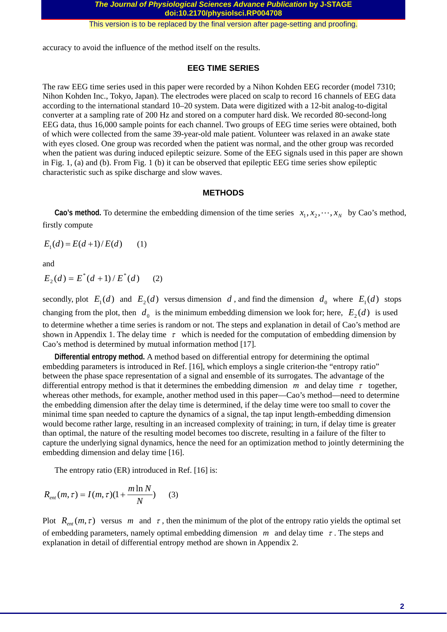accuracy to avoid the influence of the method itself on the results.

#### **EEG TIME SERIES**

The raw EEG time series used in this paper were recorded by a Nihon Kohden EEG recorder (model 7310; Nihon Kohden Inc., Tokyo, Japan). The electrodes were placed on scalp to record 16 channels of EEG data according to the international standard 10–20 system. Data were digitized with a 12-bit analog-to-digital converter at a sampling rate of 200 Hz and stored on a computer hard disk. We recorded 80-second-long EEG data, thus 16,000 sample points for each channel. Two groups of EEG time series were obtained, both of which were collected from the same 39-year-old male patient. Volunteer was relaxed in an awake state with eyes closed. One group was recorded when the patient was normal, and the other group was recorded when the patient was during induced epileptic seizure. Some of the EEG signals used in this paper are shown in Fig. 1, (a) and (b). From Fig. 1 (b) it can be observed that epileptic EEG time series show epileptic characteristic such as spike discharge and slow waves.

#### **METHODS**

**Cao's method.** To determine the embedding dimension of the time series  $x_1, x_2, \dots, x_N$  by Cao's method, firstly compute

 $E_1(d) = E(d+1)/E(d)$  (1)

and

$$
E_2(d) = E^*(d+1)/E^*(d)
$$
 (2)

secondly, plot  $E_1(d)$  and  $E_2(d)$  versus dimension *d*, and find the dimension  $d_0$  where  $E_1(d)$  stops changing from the plot, then  $d_0$  is the minimum embedding dimension we look for; here,  $E_2(d)$  is used to determine whether a time series is random or not. The steps and explanation in detail of Cao's method are shown in Appendix 1. The delay time  $\tau$  which is needed for the computation of embedding dimension by Cao's method is determined by mutual information method [17].

**Differential entropy method.** A method based on differential entropy for determining the optimal embedding parameters is introduced in Ref. [16], which employs a single criterion-the "entropy ratio" between the phase space representation of a signal and ensemble of its surrogates. The advantage of the differential entropy method is that it determines the embedding dimension *m* and delay time τ together, whereas other methods, for example, another method used in this paper—Cao's method—need to determine the embedding dimension after the delay time is determined, if the delay time were too small to cover the minimal time span needed to capture the dynamics of a signal, the tap input length-embedding dimension would become rather large, resulting in an increased complexity of training; in turn, if delay time is greater than optimal, the nature of the resulting model becomes too discrete, resulting in a failure of the filter to capture the underlying signal dynamics, hence the need for an optimization method to jointly determining the embedding dimension and delay time [16].

The entropy ratio (ER) introduced in Ref. [16] is:

$$
R_{ent}(m,\tau) = I(m,\tau)(1 + \frac{m \ln N}{N})
$$
 (3)

Plot  $R_{\text{em}}(m,\tau)$  versus *m* and  $\tau$ , then the minimum of the plot of the entropy ratio yields the optimal set of embedding parameters, namely optimal embedding dimension *m* and delay time  $\tau$ . The steps and explanation in detail of differential entropy method are shown in Appendix 2.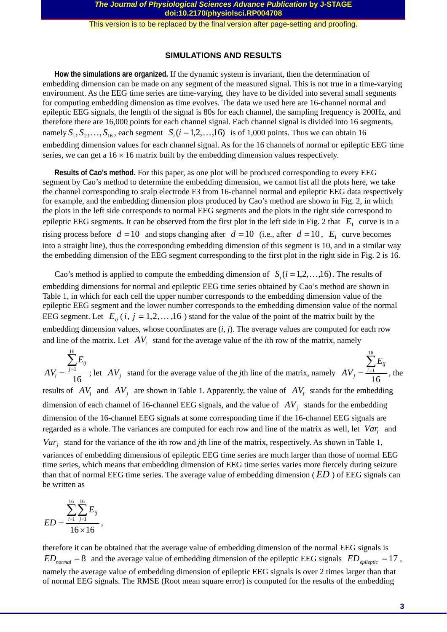## **SIMULATIONS AND RESULTS**

**How the simulations are organized.** If the dynamic system is invariant, then the determination of embedding dimension can be made on any segment of the measured signal. This is not true in a time-varying environment. As the EEG time series are time-varying, they have to be divided into several small segments for computing embedding dimension as time evolves. The data we used here are 16-channel normal and epileptic EEG signals, the length of the signal is 80s for each channel, the sampling frequency is 200Hz, and therefore there are 16,000 points for each channel signal. Each channel signal is divided into 16 segments, namely  $S_1, S_2, \ldots, S_{16}$ , each segment  $S_i$  ( $i = 1, 2, \ldots, 16$ ) is of 1,000 points. Thus we can obtain 16 embedding dimension values for each channel signal. As for the 16 channels of normal or epileptic EEG time series, we can get a  $16 \times 16$  matrix built by the embedding dimension values respectively.

**Results of Cao's method.** For this paper, as one plot will be produced corresponding to every EEG segment by Cao's method to determine the embedding dimension, we cannot list all the plots here, we take the channel corresponding to scalp electrode F3 from 16-channel normal and epileptic EEG data respectively for example, and the embedding dimension plots produced by Cao's method are shown in Fig. 2, in which the plots in the left side corresponds to normal EEG segments and the plots in the right side correspond to epileptic EEG segments. It can be observed from the first plot in the left side in Fig. 2 that  $E_1$  curve is in a rising process before  $d = 10$  and stops changing after  $d = 10$  (i.e., after  $d = 10$ ,  $E_1$  curve becomes into a straight line), thus the corresponding embedding dimension of this segment is 10, and in a similar way the embedding dimension of the EEG segment corresponding to the first plot in the right side in Fig. 2 is 16.

Cao's method is applied to compute the embedding dimension of  $S_i$  ( $i = 1, 2, \ldots, 16$ ). The results of embedding dimensions for normal and epileptic EEG time series obtained by Cao's method are shown in Table 1, in which for each cell the upper number corresponds to the embedding dimension value of the epileptic EEG segment and the lower number corresponds to the embedding dimension value of the normal EEG segment. Let  $E_{ij}$  (*i*, *j* = 1,2,...,16) stand for the value of the point of the matrix built by the embedding dimension values, whose coordinates are (*i, j*). The average values are computed for each row and line of the matrix. Let  $AV_i$  stand for the average value of the *i*th row of the matrix, namely

$$
AV_i = \frac{\sum_{j=1}^{16} E_{ij}}{16}
$$
; let  $AV_j$  stand for the average value of the *j*th line of the matrix, namely  $AV_j = \frac{\sum_{j=1}^{16} E_{ij}}{16}$ , the results of  $AV_i$  and  $AV_j$  are shown in Table 1. Apparently, the value of  $AV_i$  stands for the embedding dimension of each channel of 16-channel EEG signals, and the value of  $AV_j$  stands for the embedding dimension of the 16-channel EEG signals at some corresponding time if the 16-channel EEG signals are regarded as a whole. The variances are computed for each row and line of the matrix as well, let  $Var_i$  and  $Var_j$  stand for the variance of the *i*th row and *j*th line of the matrix, respectively. As shown in Table 1, variances of embedding dimensions of *epileptic EEG* time series are much larger than those of normal EEG time series, which means that embedding dimension of EEG time series varies more fiercely during *seizure* than that of normal EEG time series. The average value of embedding dimension *(ED)* of EEG signals can be written as

$$
ED = \frac{\sum_{i=1}^{16} \sum_{j=1}^{16} E_{ij}}{16 \times 16},
$$

therefore it can be obtained that the average value of embedding dimension of the normal EEG signals is  $ED_{normal} = 8$  and the average value of embedding dimension of the epileptic EEG signals  $ED_{enilemic} = 17$ , namely the average value of embedding dimension of epileptic EEG signals is over 2 times larger than that of normal EEG signals. The RMSE (Root mean square error) is computed for the results of the embedding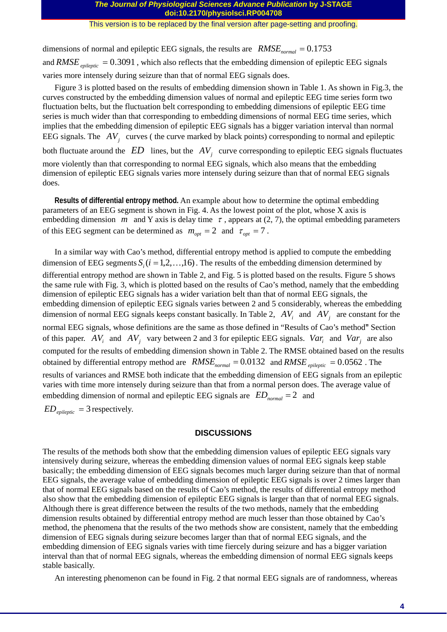dimensions of normal and epileptic EEG signals, the results are  $RMSE_{normal} = 0.1753$ and *RMSE*<sub>epileptic</sub> = 0.3091, which also reflects that the embedding dimension of epileptic EEG signals varies more intensely during seizure than that of normal EEG signals does.

Figure 3 is plotted based on the results of embedding dimension shown in Table 1. As shown in Fig.3, the curves constructed by the embedding dimension values of normal and epileptic EEG time series form two fluctuation belts, but the fluctuation belt corresponding to embedding dimensions of epileptic EEG time series is much wider than that corresponding to embedding dimensions of normal EEG time series, which implies that the embedding dimension of epileptic EEG signals has a bigger variation interval than normal EEG signals. The  $AV_i$  curves (the curve marked by black points) corresponding to normal and epileptic both fluctuate around the  $ED$  lines, but the  $AV<sub>j</sub>$  curve corresponding to epileptic EEG signals fluctuates more violently than that corresponding to normal EEG signals, which also means that the embedding dimension of epileptic EEG signals varies more intensely during seizure than that of normal EEG signals does.

**Results of differential entropy method.** An example about how to determine the optimal embedding parameters of an EEG segment is shown in Fig. 4. As the lowest point of the plot, whose X axis is embedding dimension *m* and Y axis is delay time  $\tau$ , appears at (2, 7), the optimal embedding parameters of this EEG segment can be determined as  $m_{opt} = 2$  and  $\tau_{opt} = 7$ .

In a similar way with Cao's method, differential entropy method is applied to compute the embedding dimension of EEG segments  $S_i$  ( $i = 1, 2, ..., 16$ ). The results of the embedding dimension determined by differential entropy method are shown in Table 2, and Fig. 5 is plotted based on the results. Figure 5 shows the same rule with Fig. 3, which is plotted based on the results of Cao's method, namely that the embedding dimension of epileptic EEG signals has a wider variation belt than that of normal EEG signals, the embedding dimension of epileptic EEG signals varies between 2 and 5 considerably, whereas the embedding dimension of normal EEG signals keeps constant basically. In Table 2,  $AV<sub>i</sub>$  and  $AV<sub>j</sub>$  are constant for the normal EEG signals, whose definitions are the same as those defined in "Results of Cao's method**"** Section of this paper.  $AV_i$  and  $AV_j$  vary between 2 and 3 for epileptic EEG signals. *Var<sub>i</sub>* and *Var<sub>i</sub>* are also computed for the results of embedding dimension shown in Table 2. The RMSE obtained based on the results obtained by differential entropy method are  $RMSE_{normal} = 0.0132$  and  $RMSE_{epileptic} = 0.0562$ . The results of variances and RMSE both indicate that the embedding dimension of EEG signals from an epileptic varies with time more intensely during seizure than that from a normal person does. The average value of embedding dimension of normal and epileptic EEG signals are  $ED_{normal} = 2$  and

 $ED$ <sub>epileptic</sub> = 3 respectively.

## **DISCUSSIONS**

The results of the methods both show that the embedding dimension values of epileptic EEG signals vary intensively during seizure, whereas the embedding dimension values of normal EEG signals keep stable basically; the embedding dimension of EEG signals becomes much larger during seizure than that of normal EEG signals, the average value of embedding dimension of epileptic EEG signals is over 2 times larger than that of normal EEG signals based on the results of Cao's method, the results of differential entropy method also show that the embedding dimension of epileptic EEG signals is larger than that of normal EEG signals. Although there is great difference between the results of the two methods, namely that the embedding dimension results obtained by differential entropy method are much lesser than those obtained by Cao's method, the phenomena that the results of the two methods show are consistent, namely that the embedding dimension of EEG signals during seizure becomes larger than that of normal EEG signals, and the embedding dimension of EEG signals varies with time fiercely during seizure and has a bigger variation interval than that of normal EEG signals, whereas the embedding dimension of normal EEG signals keeps stable basically.

An interesting phenomenon can be found in Fig. 2 that normal EEG signals are of randomness, whereas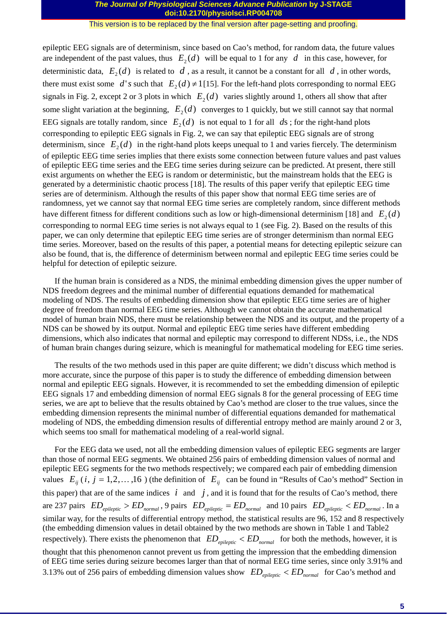#### This version is to be replaced by the final version after page-setting and proofing.

epileptic EEG signals are of determinism, since based on Cao's method, for random data, the future values are independent of the past values, thus  $E_2(d)$  will be equal to 1 for any *d* in this case, however, for deterministic data,  $E_2(d)$  is related to *d*, as a result, it cannot be a constant for all *d*, in other words, there must exist some *d*'*s* such that  $E_2(d) \neq 1$  [15]. For the left-hand plots corresponding to normal EEG signals in Fig. 2, except 2 or 3 plots in which  $E_2(d)$  varies slightly around 1, others all show that after some slight variation at the beginning,  $E_2(d)$  converges to 1 quickly, but we still cannot say that normal EEG signals are totally random, since  $E_2(d)$  is not equal to 1 for all *ds*; for the right-hand plots corresponding to epileptic EEG signals in Fig. 2, we can say that epileptic EEG signals are of strong determinism, since  $E_2(d)$  in the right-hand plots keeps unequal to 1 and varies fiercely. The determinism of epileptic EEG time series implies that there exists some connection between future values and past values of epileptic EEG time series and the EEG time series during seizure can be predicted. At present, there still exist arguments on whether the EEG is random or deterministic, but the mainstream holds that the EEG is generated by a deterministic chaotic process [18]. The results of this paper verify that epileptic EEG time series are of determinism. Although the results of this paper show that normal EEG time series are of randomness, yet we cannot say that normal EEG time series are completely random, since different methods have different fitness for different conditions such as low or high-dimensional determinism [18] and  $E<sub>2</sub>(d)$ corresponding to normal EEG time series is not always equal to 1 (see Fig. 2). Based on the results of this paper, we can only determine that epileptic EEG time series are of stronger determinism than normal EEG time series. Moreover, based on the results of this paper, a potential means for detecting epileptic seizure can also be found, that is, the difference of determinism between normal and epileptic EEG time series could be helpful for detection of epileptic seizure.

If the human brain is considered as a NDS, the minimal embedding dimension gives the upper number of NDS freedom degrees and the minimal number of differential equations demanded for mathematical modeling of NDS. The results of embedding dimension show that epileptic EEG time series are of higher degree of freedom than normal EEG time series. Although we cannot obtain the accurate mathematical model of human brain NDS, there must be relationship between the NDS and its output, and the property of a NDS can be showed by its output. Normal and epileptic EEG time series have different embedding dimensions, which also indicates that normal and epileptic may correspond to different NDSs, i.e., the NDS of human brain changes during seizure, which is meaningful for mathematical modeling for EEG time series.

The results of the two methods used in this paper are quite different; we didn't discuss which method is more accurate, since the purpose of this paper is to study the difference of embedding dimension between normal and epileptic EEG signals. However, it is recommended to set the embedding dimension of epileptic EEG signals 17 and embedding dimension of normal EEG signals 8 for the general processing of EEG time series, we are apt to believe that the results obtained by Cao's method are closer to the true values, since the embedding dimension represents the minimal number of differential equations demanded for mathematical modeling of NDS, the embedding dimension results of differential entropy method are mainly around 2 or 3, which seems too small for mathematical modeling of a real-world signal.

For the EEG data we used, not all the embedding dimension values of epileptic EEG segments are larger than those of normal EEG segments. We obtained 256 pairs of embedding dimension values of normal and epileptic EEG segments for the two methods respectively; we compared each pair of embedding dimension values  $E_{ij}$  (*i*, *j* = 1,2,...,16) (the definition of  $E_{ij}$  can be found in "Results of Cao's method" Section in this paper) that are of the same indices  $i$  and  $j$ , and it is found that for the results of Cao's method, there are 237 pairs  $ED_{epileptic} > ED_{normal}$ , 9 pairs  $ED_{epileptic} = ED_{normal}$  and 10 pairs  $ED_{epileptic} < ED_{normal}$ . In a similar way, for the results of differential entropy method, the statistical results are 96, 152 and 8 respectively (the embedding dimension values in detail obtained by the two methods are shown in Table 1 and Table2 respectively). There exists the phenomenon that  $ED_{\text{epileptic}} < ED_{\text{normal}}$  for both the methods, however, it is thought that this phenomenon cannot prevent us from getting the impression that the embedding dimension of EEG time series during seizure becomes larger than that of normal EEG time series, since only 3.91% and 3.13% out of 256 pairs of embedding dimension values show *EDepileptic* < *EDnormal* for Cao's method and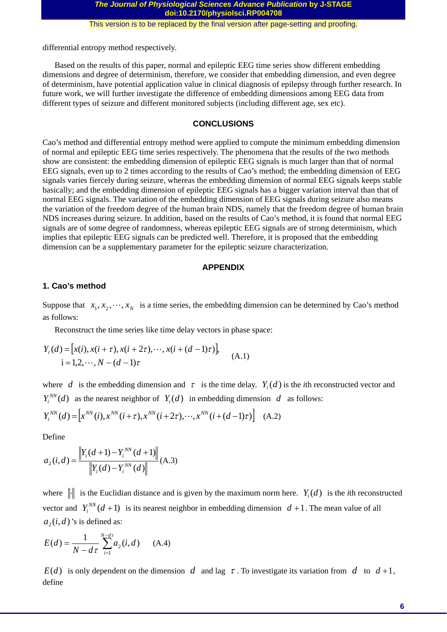differential entropy method respectively.

Based on the results of this paper, normal and epileptic EEG time series show different embedding dimensions and degree of determinism, therefore, we consider that embedding dimension, and even degree of determinism, have potential application value in clinical diagnosis of epilepsy through further research. In future work, we will further investigate the difference of embedding dimensions among EEG data from different types of seizure and different monitored subjects (including different age, sex etc).

## **CONCLUSIONS**

Cao's method and differential entropy method were applied to compute the minimum embedding dimension of normal and epileptic EEG time series respectively. The phenomena that the results of the two methods show are consistent: the embedding dimension of epileptic EEG signals is much larger than that of normal EEG signals, even up to 2 times according to the results of Cao's method; the embedding dimension of EEG signals varies fiercely during seizure, whereas the embedding dimension of normal EEG signals keeps stable basically; and the embedding dimension of epileptic EEG signals has a bigger variation interval than that of normal EEG signals. The variation of the embedding dimension of EEG signals during seizure also means the variation of the freedom degree of the human brain NDS, namely that the freedom degree of human brain NDS increases during seizure. In addition, based on the results of Cao's method, it is found that normal EEG signals are of some degree of randomness, whereas epileptic EEG signals are of strong determinism, which implies that epileptic EEG signals can be predicted well. Therefore, it is proposed that the embedding dimension can be a supplementary parameter for the epileptic seizure characterization.

## **APPENDIX**

## **1. Cao's method**

Suppose that  $x_1, x_2, \dots, x_N$  is a time series, the embedding dimension can be determined by Cao's method as follows:

Reconstruct the time series like time delay vectors in phase space:

$$
Y_i(d) = [x(i), x(i + \tau), x(i + 2\tau), \cdots, x(i + (d - 1)\tau)],
$$
  
i = 1,2, ..., N - (d - 1)\tau (A.1)

where *d* is the embedding dimension and  $\tau$  is the time delay.  $Y_i(d)$  is the *i*th reconstructed vector and  $Y_i^{NN}(d)$  as the nearest neighbor of  $Y_i(d)$  in embedding dimension *d* as follows:

$$
Y_i^{NN}(d) = \left[ x^{NN}(i), x^{NN}(i+\tau), x^{NN}(i+2\tau), \cdots, x^{NN}(i+(d-1)\tau) \right]
$$
 (A.2)

Define

$$
a_2(i,d) = \frac{\left\| Y_i(d+1) - Y_i^{NN}(d+1) \right\|}{\left\| Y_i(d) - Y_i^{NN}(d) \right\|} (A.3)
$$

where  $\|\cdot\|$  is the Euclidian distance and is given by the maximum norm here.  $Y_i(d)$  is the *i*th reconstructed vector and  $Y_i^{NN}(d+1)$  is its nearest neighbor in embedding dimension  $d+1$ . The mean value of all  $a_2$  (*i*, *d*) 's is defined as:

$$
E(d) = \frac{1}{N - d\tau} \sum_{i=1}^{N - d\tau} a_2(i, d) \qquad (A.4)
$$

*E*(*d*) is only dependent on the dimension *d* and lag  $\tau$ . To investigate its variation from *d* to  $d+1$ , define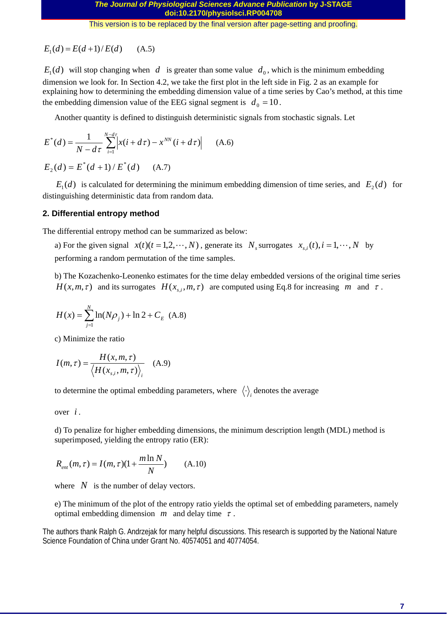$E_1(d) = E(d+1)/E(d)$  (A.5)

 $E_1(d)$  will stop changing when *d* is greater than some value  $d_0$ , which is the minimum embedding dimension we look for. In Section 4.2, we take the first plot in the left side in Fig. 2 as an example for explaining how to determining the embedding dimension value of a time series by Cao's method, at this time the embedding dimension value of the EEG signal segment is  $d_0 = 10$ .

Another quantity is defined to distinguish deterministic signals from stochastic signals. Let

$$
E^*(d) = \frac{1}{N - d\tau} \sum_{i=1}^{N - d\tau} \left| x(i + d\tau) - x^{NN} (i + d\tau) \right| \tag{A.6}
$$

 $E_2(d) = E^*(d+1) / E^*(d)$  (A.7)

 $E_1(d)$  is calculated for determining the minimum embedding dimension of time series, and  $E_2(d)$  for distinguishing deterministic data from random data.

#### **2. Differential entropy method**

The differential entropy method can be summarized as below:

a) For the given signal  $x(t)(t = 1, 2, \dots, N)$ , generate its  $N_s$  surrogates  $x_{s,i}(t)$ ,  $i = 1, \dots, N$  by performing a random permutation of the time samples.

b) The Kozachenko-Leonenko estimates for the time delay embedded versions of the original time series  $H(x, m, \tau)$  and its surrogates  $H(x, \tau, m, \tau)$  are computed using Eq.8 for increasing *m* and  $\tau$ .

$$
H(x) = \sum_{j=1}^{N} \ln(N\rho_j) + \ln 2 + C_E
$$
 (A.8)

c) Minimize the ratio

$$
I(m,\tau) = \frac{H(x,m,\tau)}{\langle H(x_{s,i},m,\tau) \rangle_i}
$$
 (A.9)

to determine the optimal embedding parameters, where  $\langle \cdot \rangle$  denotes the average

over *i* .

d) To penalize for higher embedding dimensions, the minimum description length (MDL) method is superimposed, yielding the entropy ratio (ER):

$$
R_{\text{ent}}(m,\tau) = I(m,\tau)(1 + \frac{m \ln N}{N})
$$
 (A.10)

where  $N$  is the number of delay vectors.

e) The minimum of the plot of the entropy ratio yields the optimal set of embedding parameters, namely optimal embedding dimension *m* and delay time <sup>τ</sup> .

The authors thank Ralph G. Andrzejak for many helpful discussions. This research is supported by the National Nature Science Foundation of China under Grant No. 40574051 and 40774054.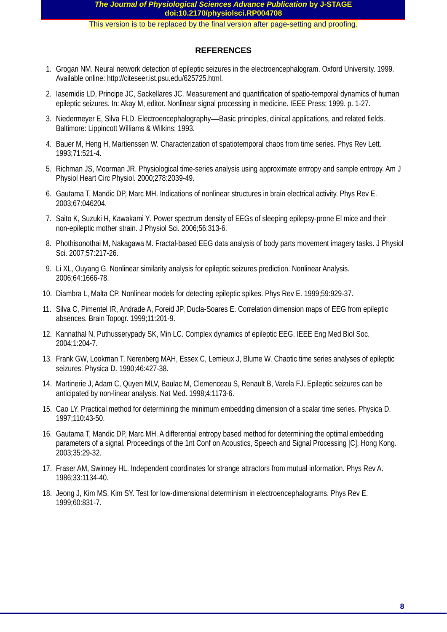## **REFERENCES**

- 1. Grogan NM. Neural network detection of epileptic seizures in the electroencephalogram. Oxford University. 1999. Available online: http://citeseer.ist.psu.edu/625725.html.
- 2. Iasemidis LD, Principe JC, Sackellares JC. Measurement and quantification of spatio-temporal dynamics of human epileptic seizures. In: Akay M, editor. Nonlinear signal processing in medicine. IEEE Press; 1999. p. 1-27.
- 3. Niedermeyer E, Silva FLD. Electroencephalography—Basic principles, clinical applications, and related fields. Baltimore: Lippincott Williams & Wilkins; 1993.
- 4. Bauer M, Heng H, Martienssen W. Characterization of spatiotemporal chaos from time series. Phys Rev Lett. 1993;71:521-4.
- 5. Richman JS, Moorman JR. Physiological time-series analysis using approximate entropy and sample entropy. Am J Physiol Heart Circ Physiol. 2000;278:2039-49.
- 6. Gautama T, Mandic DP, Marc MH. Indications of nonlinear structures in brain electrical activity. Phys Rev E. 2003;67:046204.
- 7. Saito K, Suzuki H, Kawakami Y. Power spectrum density of EEGs of sleeping epilepsy-prone El mice and their non-epileptic mother strain. J Physiol Sci. 2006;56:313-6.
- 8. Phothisonothai M, Nakagawa M. Fractal-based EEG data analysis of body parts movement imagery tasks. J Physiol Sci. 2007;57:217-26.
- 9. Li XL, Ouyang G. Nonlinear similarity analysis for epileptic seizures prediction. Nonlinear Analysis. 2006;64:1666-78.
- 10. Diambra L, Malta CP. Nonlinear models for detecting epileptic spikes. Phys Rev E. 1999;59:929-37.
- 11. Silva C, Pimentel IR, Andrade A, Foreid JP, Ducla-Soares E. Correlation dimension maps of EEG from epileptic absences. Brain Topogr. 1999;11:201-9.
- 12. Kannathal N, Puthusserypady SK, Min LC. Complex dynamics of epileptic EEG. IEEE Eng Med Biol Soc. 2004;1:204-7.
- 13. Frank GW, Lookman T, Nerenberg MAH, Essex C, Lemieux J, Blume W. Chaotic time series analyses of epileptic seizures. Physica D. 1990;46:427-38.
- 14. Martinerie J, Adam C, Quyen MLV, Baulac M, Clemenceau S, Renault B, Varela FJ. Epileptic seizures can be anticipated by non-linear analysis. Nat Med. 1998;4:1173-6.
- 15. Cao LY. Practical method for determining the minimum embedding dimension of a scalar time series. Physica D. 1997;110:43-50.
- 16. Gautama T, Mandic DP, Marc MH. A differential entropy based method for determining the optimal embedding parameters of a signal. Proceedings of the 1nt Conf on Acoustics, Speech and Signal Processing [C], Hong Kong. 2003;35:29-32.
- 17. Fraser AM, Swinney HL. Independent coordinates for strange attractors from mutual information. Phys Rev A. 1986;33:1134-40.
- 18. Jeong J, Kim MS, Kim SY. Test for low-dimensional determinism in electroencephalograms. Phys Rev E. 1999;60:831-7.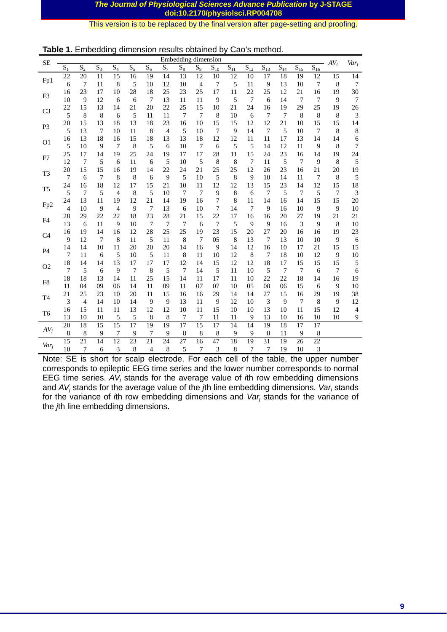This version is to be replaced by the final version after page-setting and proofing.

| <b>SE</b>      |                      | Embedding dimension<br>$AV_i$ |                 |                  |                 |                 |                |                      |                      |                  |                 |                 |                  |                 |                     | $Var_i$        |                |                         |
|----------------|----------------------|-------------------------------|-----------------|------------------|-----------------|-----------------|----------------|----------------------|----------------------|------------------|-----------------|-----------------|------------------|-----------------|---------------------|----------------|----------------|-------------------------|
|                | $\overline{S_1}$     | $S_2$                         | $S_3$           | $S_4$            | $S_5$           | $S_6$           | $S_7$          | $\mathbf{S}_8$       | $S_9$                | $S_{10}$         | $S_{11}$        | $S_{12}$        | $S_{13}$         | $S_{14}$        | $\overline{S_{15}}$ | $S_{16}$       |                |                         |
|                | 22                   | 20                            | 11              | 15               | 16              | 19              | 14             | 13                   | 12                   | 10               | 12              | 10              | 17               | 18              | 19                  | 12             | 15             | 14                      |
| Fp1            | 6                    | $\overline{7}$                | 11              | 8                | 5               | 10              | 12             | 10                   | $\overline{4}$       | $\tau$           | 5               | 11              | 9                | 13              | 10                  | $\overline{7}$ | $\,$ 8 $\,$    | $\boldsymbol{7}$        |
| F <sub>3</sub> | 16                   | 23                            | 17              | 10               | 28              | 18              | 25             | 23                   | 25                   | 17               | 11              | 22              | 25               | 12              | 21                  | 16             | 19             | 30                      |
|                | 10                   | 9                             | 12              | 6                | 6               | $\tau$          | 13             | 11                   | 11                   | 9                | 5               | $\overline{7}$  | 6                | 14              | $\overline{7}$      | 7              | 9              | $\tau$                  |
| C <sub>3</sub> | 22                   | 15                            | 13              | 14               | 21              | 20              | 22             | 25                   | 15                   | 10               | 21              | 24              | 16               | 19              | 29                  | 25             | 19             | 26                      |
|                | 5                    | 8                             | $\,8\,$         | 6                | 5               | 11              | 11             | $\overline{7}$       | $\overline{7}$       | 8                | 10              | 6               | $\overline{7}$   | $\overline{7}$  | 8                   | $\,8\,$        | $\,$ 8 $\,$    | $\mathfrak{Z}$          |
| P <sub>3</sub> | $20\,$               | 15                            | 13              | 18               | 13              | 18              | 23             | 16                   | 10                   | 15               | 15              | 12              | 12               | 21              | 10                  | 15             | 15             | 14                      |
|                | 5                    | 13                            | $\overline{7}$  | 10               | 11              | $\,8\,$         | $\overline{4}$ | 5                    | 10                   | $\boldsymbol{7}$ | 9               | 14              | $\boldsymbol{7}$ | 5               | 10                  | $\overline{7}$ | $\,8\,$        | $\,8\,$                 |
| O <sub>1</sub> | 16                   | 13                            | 18              | 16               | 15              | 18              | 13             | 13                   | 18                   | 12               | 12              | 11              | 11               | 17              | 13                  | 14             | 14             | $\epsilon$              |
|                | 5                    | 10                            | 9               | $\boldsymbol{7}$ | 8               | 5               | $6\,$          | 10                   | $\overline{7}$       | 6                | 5               | 5               | 14               | 12              | 11                  | 9              | $\,$ 8 $\,$    | $\boldsymbol{7}$        |
| F7             | 25                   | 17                            | 14              | 19               | 25              | 24              | 19             | 17                   | 17                   | 28               | 11              | 15              | 24               | 23              | 16                  | 14             | 19             | 24                      |
|                | 12                   | $\overline{7}$                | 5               | 6                | 11              | 6               | 5              | 10                   | 5                    | 8                | $\,8\,$         | $\tau$          | 11               | 5               | $\overline{7}$      | 9              | $\,$ 8 $\,$    | $\sqrt{5}$              |
| T <sub>3</sub> | 20                   | 15                            | 15              | 16               | 19              | 14              | 22             | 24                   | 21                   | 25               | 25              | 12              | 26               | 23              | 16                  | 21             | 20             | 19                      |
|                | $\overline{7}$       | 6                             | $\overline{7}$  | 8                | 8               | 6               | 9              | 5                    | 10                   | 5                | 8               | $\mathbf{9}$    | 10               | 14              | 11                  | $\tau$         | $\,$ 8 $\,$    | $\sqrt{5}$              |
| T <sub>5</sub> | 24                   | 16                            | 18              | 12               | 17              | 15              | 21             | 10                   | 11                   | 12               | 12              | 13              | 15               | 23              | 14                  | 12             | 15             | $18\,$                  |
|                | 5                    | 7                             | 5<br>11         | 4                | 8               | 5<br>21         | 10<br>14       | $\overline{7}$<br>19 | $\overline{7}$<br>16 | 9<br>7           | 8<br>8          | 6               | 7<br>14          | 5               | $\tau$              | 5              | 7<br>15        | $\mathfrak{Z}$          |
| Fp2            | 24<br>$\overline{4}$ | 13<br>10                      | 9               | 19<br>4          | 12<br>9         | $\tau$          | 13             | 6                    | 10                   | 7                | 14              | 11<br>7         | 9                | 16              | 14                  | 15<br>9        | 9              | $20\,$<br>10            |
|                |                      | 29                            | 22              | 22               | 18              | 23              | 28             | 21                   | 15                   | 22               | 17              | 16              | 16               | 16<br>20        | 10<br>27            |                | 21             | 21                      |
| F <sub>4</sub> | 28<br>13             | 6                             | 11              | 9                | 10              | 7               | $\overline{7}$ | $\boldsymbol{7}$     | 6                    | 7                | 5               | 9               | 9                | 16              | 3                   | 19<br>9        | $\,$ 8 $\,$    | $10\,$                  |
|                | 16                   | 19                            | 14              | 16               | 12              | 28              | 25             | 25                   | 19                   | 23               | 15              | 20              | 27               | 20              | 16                  | 16             | 19             | 23                      |
| C <sub>4</sub> | 9                    | 12                            | 7               | 8                | 11              | 5               | 11             | 8                    | $\overline{7}$       | 05               | 8               | 13              | 7                | 13              | 10                  | 10             | 9              | $\sqrt{6}$              |
|                | 14                   | 14                            | 10              | 11               | 20              | 20              | 20             | 14                   | 16                   | 9                | 14              | 12              | 16               | 10              | 17                  | 21             | 15             | 15                      |
| P4             | 7                    | 11                            | 6               | 5                | 10              | 5               | 11             | 8                    | 11                   | 10               | 12              | 8               | $\overline{7}$   | 18              | 10                  | 12             | 9              | $10\,$                  |
|                | 18                   | 14                            | 14              | 13               | 17              | 17              | 17             | 12                   | 14                   | 15               | 12              | 12              | 18               | 17              | 15                  | 15             | 15             | $\sqrt{5}$              |
| O <sub>2</sub> | 7                    | 5                             | 6               | 9                | $7\phantom{.0}$ | 8               | 5              | $\tau$               | 14                   | 5                | 11              | 10              | 5                | $\overline{7}$  | $\overline{7}$      | 6              | $\overline{7}$ | $\sqrt{6}$              |
|                | 18                   | 18                            | 13              | 14               | 11              | 25              | 15             | 14                   | 11                   | 17               | 11              | 10              | 22               | 22              | 18                  | 14             | 16             | 19                      |
| F <sub>8</sub> | 11                   | 04                            | 09              | 06               | 14              | 11              | 09             | 11                   | 07                   | 07               | 10              | 05              | 08               | 06              | 15                  | 6              | 9              | $10\,$                  |
|                | 21                   | 25                            | 23              | 10               | 20              | 11              | 15             | 16                   | 16                   | 29               | 14              | 14              | 27               | 15              | 16                  | 29             | 19             | 38                      |
| T <sub>4</sub> | 3                    | $\overline{4}$                | 14              | 10               | 14              | 9               | 9              | 13                   | 11                   | 9                | 12              | 10              | $\mathfrak{Z}$   | 9               | $\tau$              | 8              | 9              | 12                      |
|                | 16                   | 15                            | 11              | 11               | 13              | 12              | 12             | 10                   | 11                   | 15               | 10              | 10              | 13               | 10              | 11                  | 15             | 12             | $\overline{\mathbf{4}}$ |
| T <sub>6</sub> | 13                   | 10                            | 10              | 5                | 5               | 8               | 8              | 7                    | 7                    | 11               | 11              | 9               | 13               | 10              | 16                  | 10             | 10             | 9                       |
|                | 20                   | 18                            | $\overline{15}$ | $\overline{15}$  | $\overline{17}$ | $\overline{19}$ | 19             | $\overline{17}$      | $\overline{15}$      | $\overline{17}$  | $\overline{14}$ | $\overline{14}$ | $\overline{19}$  | $\overline{18}$ | $\overline{17}$     | 17             |                |                         |
| $AV_j$         | 8                    | 8                             | 9               | 7                | 9               | $\overline{7}$  | 9              | $\,$ 8 $\,$          | 8                    | $\,8\,$          | 9               | 9               | 8                | 11              | 9                   | $\,8\,$        |                |                         |
|                | $\overline{15}$      | 21                            | 14              | 12               | $\overline{23}$ | 21              | 24             | $\overline{27}$      | 16                   | 47               | 18              | 19              | $\overline{31}$  | 19              | 26                  | 22             |                |                         |
| $Var_i$        | 10                   | 7                             | 6               | 3                | 8               | 4               | 8              | 5                    | 7                    | 3                | 8               | 7               | 7                | 19              | 10                  | 3              |                |                         |

| Table 1. Embedding dimension results obtained by Cao's method. |  |  |
|----------------------------------------------------------------|--|--|
|----------------------------------------------------------------|--|--|

Note: SE is short for scalp electrode. For each cell of the table, the upper number corresponds to epileptic EEG time series and the lower number corresponds to normal EEG time series. *AVi* stands for the average value of *i*th row embedding dimensions and *AVj* stands for the average value of the *j*th line embedding dimensions. *Vari* stands for the variance of *i*th row embedding dimensions and *Varj* stands for the variance of the *j*th line embedding dimensions.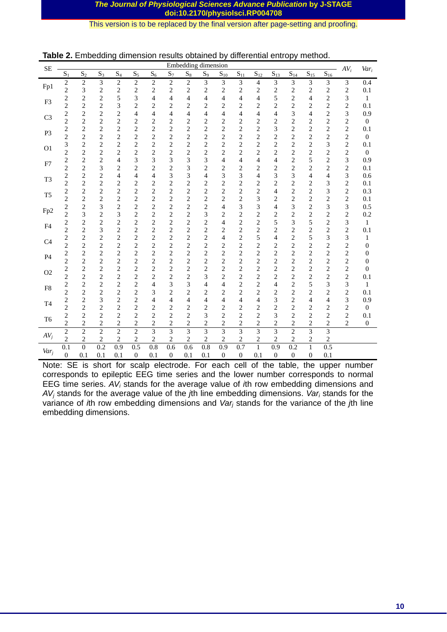This version is to be replaced by the final version after page-setting and proofing.

| <b>SE</b>      | Embedding dimension     |                         |                  |                  |                  |                          |                  |                          |                         |                          |                          |                         |                          | Var <sub>i</sub>        |                          |                          |                         |                  |
|----------------|-------------------------|-------------------------|------------------|------------------|------------------|--------------------------|------------------|--------------------------|-------------------------|--------------------------|--------------------------|-------------------------|--------------------------|-------------------------|--------------------------|--------------------------|-------------------------|------------------|
|                | $S_1$                   | $S_2$                   | $S_3$            | $S_4$            | $S_5$            | $S_6$                    | $S_7$            | $\mathbf{S}_8$           | $S_9$                   | $\mathbf{S}_{10}$        | $\mathbf{S}_{11}$        | $S_{12}$                | $\mathbf{S}_{13}$        | $S_{14}$                | $S_{15}$                 | $S_{16}$                 | $AV_i$                  |                  |
|                | $\overline{2}$          | $\overline{2}$          | $\overline{3}$   | $\overline{2}$   | $\overline{2}$   | $\overline{2}$           | $\overline{2}$   | $\overline{2}$           | $\overline{3}$          | 3                        | 3                        | $\overline{4}$          | $\overline{3}$           | $\overline{3}$          | $\overline{\mathbf{3}}$  | $\overline{\mathbf{3}}$  | $\overline{3}$          | 0.4              |
| Fp1            | $\overline{c}$          | 3                       | $\overline{c}$   | $\overline{c}$   | $\overline{c}$   | $\overline{c}$           | $\overline{c}$   | $\overline{c}$           | $\overline{c}$          | $\overline{c}$           | $\overline{c}$           | $\overline{c}$          | $\overline{c}$           | $\overline{c}$          | $\overline{c}$           | $\overline{c}$           | $\overline{c}$          | 0.1              |
| F <sub>3</sub> | $\overline{c}$          | $\mathbf{2}$            | $\overline{c}$   | 5                | 3                | $\overline{\mathcal{L}}$ | $\overline{4}$   | $\overline{\mathcal{L}}$ | $\overline{4}$          | $\overline{\mathcal{L}}$ | $\overline{\mathcal{L}}$ | 4                       | 5                        | $\overline{c}$          | $\overline{\mathcal{L}}$ | $\overline{c}$           | 3                       | $\mathbf{1}$     |
|                | $\overline{c}$          | $\mathbf{2}$            | $\overline{c}$   | 3                | $\overline{c}$   | $\overline{c}$           | $\overline{c}$   | $\overline{c}$           | $\overline{c}$          | $\overline{c}$           | $\overline{c}$           | $\overline{c}$          | $\overline{c}$           | $\overline{c}$          | $\overline{c}$           | $\overline{c}$           | $\overline{c}$          | 0.1              |
|                | $\boldsymbol{2}$        | $\boldsymbol{2}$        | $\overline{c}$   | $\overline{c}$   | $\overline{4}$   | 4                        | $\overline{4}$   | 4                        | 4                       | 4                        | 4                        | 4                       | 4                        | 3                       | 4                        | $\overline{c}$           | 3                       | 0.9              |
| C <sub>3</sub> | $\overline{c}$          | $\overline{c}$          | $\overline{c}$   | $\mathbf{2}$     | $\overline{c}$   | $\overline{c}$           | $\overline{c}$   | $\overline{\mathbf{c}}$  | $\overline{c}$          | $\overline{c}$           | $\overline{c}$           | $\overline{c}$          | $\overline{c}$           | $\overline{c}$          | $\overline{c}$           | $\overline{c}$           | $\overline{c}$          | $\mathbf{0}$     |
| P <sub>3</sub> | $\overline{c}$          | $\overline{c}$          | $\overline{c}$   | $\mathbf{2}$     | $\overline{c}$   | $\overline{c}$           | $\overline{c}$   | $\overline{c}$           | $\overline{c}$          | $\overline{c}$           | $\overline{c}$           | $\overline{c}$          | 3                        | $\overline{c}$          | $\overline{c}$           | $\overline{c}$           | $\overline{c}$          | 0.1              |
|                | $\overline{c}$          | $\overline{c}$          | $\overline{c}$   | $\mathbf{2}$     | $\overline{c}$   | $\sqrt{2}$               | $\overline{c}$   | $\overline{c}$           | $\overline{c}$          | $\overline{c}$           | $\overline{\mathbf{c}}$  | $\overline{c}$          | $\overline{c}$           | $\overline{c}$          | $\overline{c}$           | $\overline{c}$           | $\overline{c}$          | $\boldsymbol{0}$ |
| O <sub>1</sub> | 3                       | $\sqrt{2}$              | $\overline{c}$   | $\mathbf{2}$     | $\overline{c}$   | $\overline{c}$           | $\overline{c}$   | $\overline{c}$           | $\overline{c}$          | $\overline{c}$           | $\overline{c}$           | $\overline{c}$          | $\overline{c}$           | $\overline{c}$          | $\overline{c}$           | 3                        | $\overline{c}$          | 0.1              |
|                | $\overline{c}$          | $\sqrt{2}$              | $\overline{c}$   | $\overline{c}$   | $\overline{c}$   | $\overline{c}$           | $\overline{c}$   | $\overline{c}$           | $\overline{c}$          | $\overline{c}$           | $\overline{\mathbf{c}}$  | $\overline{c}$          | $\overline{c}$           | $\overline{c}$          | $\overline{c}$           | $\overline{c}$           | $\overline{c}$          | $\mathbf{0}$     |
| F7             | $\overline{\mathbf{c}}$ | $\overline{c}$          | 2                | $\overline{4}$   | 3                | 3                        | 3                | 3                        | 3                       | 4                        | 4                        | 4                       | $\overline{4}$           | $\overline{c}$          | 5                        | $\overline{c}$           | 3                       | 0.9              |
|                | $\overline{c}$          | $\mathbf{2}$            | 3                | 2                | $\overline{2}$   | $\overline{2}$           | $\overline{2}$   | 3                        | 2                       | $\overline{c}$           | $\overline{c}$           | 2                       | $\overline{c}$           | $\overline{2}$          | $\overline{c}$           | $\overline{c}$           | $\overline{c}$          | 0.1              |
| T <sub>3</sub> | $\overline{\mathbf{c}}$ | $\sqrt{2}$              | 2                | 4                | $\overline{4}$   | $\overline{4}$           | 3                | 3                        | 4                       | 3                        | 3                        | 4                       | 3                        | 3                       | 4                        | $\overline{4}$           | 3                       | 0.6              |
|                | $\overline{c}$          | $\mathbf{2}$            | $\overline{c}$   | $\overline{c}$   | $\overline{2}$   | $\overline{c}$           | $\overline{c}$   | 2                        | $\overline{c}$          | $\overline{c}$           | $\overline{c}$           | $\overline{c}$          | $\overline{c}$           | $\overline{c}$          | $\overline{c}$           | 3                        | $\overline{c}$          | 0.1              |
| T <sub>5</sub> | $\overline{c}$          | $\overline{c}$          | $\overline{c}$   | $\overline{c}$   | $\overline{2}$   | $\overline{c}$           | $\overline{c}$   | $\overline{c}$           | $\overline{c}$          | $\overline{c}$           | $\overline{c}$           | $\overline{c}$          | 4                        | $\overline{c}$          | $\overline{c}$           | 3                        | $\overline{c}$          | 0.3              |
|                | $\overline{c}$          | 2                       | $\overline{c}$   | $\overline{c}$   | $\overline{2}$   | $\overline{c}$           | $\overline{c}$   | 2                        | 2                       | $\overline{c}$           | $\overline{c}$           | 3                       | $\overline{c}$           | $\overline{c}$          | $\overline{c}$           | $\overline{c}$           | $\overline{c}$          | 0.1              |
| Fp2            | 2                       | 2                       | 3                | $\overline{c}$   | $\overline{2}$   | $\overline{c}$           | $\overline{c}$   | 2                        | 2                       | 4                        | 3                        | 3                       | 4                        | 3                       | $\overline{c}$           | 3                        | 3                       | 0.5              |
|                | $\overline{2}$          | 3                       | $\overline{2}$   | 3                | $\overline{2}$   | $\overline{c}$           | $\overline{c}$   | 2                        | 3                       | 2                        | $\overline{c}$           | $\overline{c}$          | $\boldsymbol{2}$         | $\overline{c}$          | $\overline{c}$           | $\overline{c}$           | $\overline{c}$          | 0.2              |
| F <sub>4</sub> | $\overline{c}$          | $\overline{c}$          | $\overline{c}$   | $\overline{2}$   | $\overline{2}$   | $\overline{2}$           | $\overline{2}$   | $\overline{c}$           | $\overline{c}$          | 4                        | $\overline{c}$           | $\overline{c}$          | 5                        | 3                       | 5                        | $\overline{c}$           | 3                       | 1                |
|                | $\overline{c}$          | $\overline{c}$          | 3                | $\overline{c}$   | $\overline{c}$   | $\overline{c}$           | $\overline{c}$   | 2                        | $\overline{c}$          | 2                        | $\overline{c}$           | $\overline{c}$          | $\overline{c}$           | $\overline{c}$          | $\overline{c}$           | $\overline{c}$           | $\overline{c}$          | 0.1              |
| C <sub>4</sub> | $\overline{c}$          | $\overline{c}$          | $\overline{c}$   | $\overline{c}$   | $\overline{c}$   | $\overline{c}$           | $\overline{c}$   | $\overline{c}$           | $\overline{c}$          | 4                        | $\overline{\mathbf{c}}$  | 5                       | 4                        | $\overline{c}$          | 5                        | 3                        | 3                       | 1                |
|                | $\overline{c}$          | $\overline{c}$          | $\overline{c}$   | $\overline{c}$   | $\overline{c}$   | $\overline{c}$           | $\overline{c}$   | $\overline{c}$           | 2                       | $\overline{\mathbf{c}}$  | $\overline{\mathbf{c}}$  | $\overline{c}$          | $\boldsymbol{2}$         | $\overline{c}$          | $\overline{c}$           | $\overline{\mathbf{c}}$  | $\overline{c}$          | $\boldsymbol{0}$ |
| P <sub>4</sub> | $\overline{\mathbf{c}}$ | $\overline{c}$          | $\overline{c}$   | $\overline{c}$   | $\overline{c}$   | $\overline{c}$           | $\overline{c}$   | $\overline{\mathbf{c}}$  | $\overline{c}$          | $\overline{\mathbf{c}}$  | $\overline{\mathbf{c}}$  | $\overline{\mathbf{c}}$ | $\overline{c}$           | $\overline{\mathbf{c}}$ | $\overline{c}$           | $\overline{\mathbf{c}}$  | $\overline{\mathbf{c}}$ | $\overline{0}$   |
|                | $\overline{c}$          | $\overline{c}$          | $\overline{c}$   | $\overline{c}$   | $\overline{c}$   | $\overline{c}$           | $\overline{c}$   | $\overline{c}$           | $\overline{c}$          | $\overline{c}$           | $\overline{c}$           | $\overline{c}$          | $\overline{c}$           | $\overline{c}$          | $\overline{c}$           | $\overline{c}$           | $\overline{c}$          | $\theta$         |
| O <sub>2</sub> | $\frac{2}{2}$           | $\overline{c}$          | $\overline{c}$   | $\overline{2}$   | $\overline{c}$   | $\overline{c}$           | $\overline{c}$   | $\overline{c}$           | $\overline{c}$          | $\overline{c}$           | $\overline{c}$           | $\overline{c}$          | $\overline{c}$           | $\overline{c}$          | $\overline{c}$           | $\overline{c}$           | $\overline{c}$          | $\overline{0}$   |
|                |                         | $\overline{c}$          | $\overline{c}$   | $\overline{c}$   | $\overline{c}$   | $\overline{c}$           | $\overline{c}$   | $\overline{c}$           | 3                       | $\overline{c}$           | $\overline{c}$           | $\overline{c}$          | $\overline{c}$           | $\overline{c}$          | $\overline{c}$           | $\overline{c}$           | $\overline{c}$          | 0.1              |
| F8             | $\overline{c}$          | $\overline{c}$          | $\overline{c}$   | $\overline{c}$   | $\overline{c}$   | $\overline{4}$           | 3                | 3                        | 4                       | $\overline{\mathcal{L}}$ | $\overline{\mathbf{c}}$  | $\overline{\mathbf{c}}$ | $\overline{\mathcal{L}}$ | $\overline{c}$          | 5                        | 3                        | 3                       | 1                |
|                | $\overline{c}$          | $\overline{c}$          | $\overline{c}$   | $\overline{c}$   | $\overline{c}$   | 3                        | $\overline{c}$   | 2                        | $\overline{\mathbf{c}}$ | $\overline{c}$           | $\overline{c}$           | $\overline{c}$          | $\overline{c}$           | $\overline{c}$          | $\overline{c}$           | $\overline{c}$           | $\overline{c}$          | 0.1              |
| T <sub>4</sub> | $\overline{c}$          | $\overline{c}$          | 3                | $\overline{c}$   | $\overline{c}$   | 4                        | $\overline{4}$   | 4                        | $\overline{4}$          | 4                        | 4                        | 4                       | 3                        | $\overline{c}$          | 4                        | $\overline{\mathcal{L}}$ | 3                       | 0.9              |
|                | $\overline{c}$          | $\overline{2}$          | $\overline{c}$   | $\overline{2}$   | $\overline{c}$   | $\overline{2}$           | $\overline{2}$   | $\overline{c}$           | $\overline{c}$          | $\overline{2}$           | $\overline{c}$           | $\overline{c}$          | $\overline{c}$           | $\overline{c}$          | $\overline{c}$           | $\overline{c}$           | $\overline{c}$          | $\mathbf{0}$     |
| T <sub>6</sub> | $\overline{c}$          | $\overline{c}$          | $\overline{c}$   | $\overline{c}$   | $\overline{2}$   | $\overline{c}$           | $\overline{c}$   | $\overline{c}$           | 3                       | $\overline{c}$           | $\overline{c}$           | $\overline{c}$          | 3                        | $\overline{c}$          | $\overline{c}$           | $\overline{c}$           | $\overline{c}$          | 0.1              |
|                | $\overline{c}$          | $\overline{c}$          | $\overline{c}$   | $\overline{c}$   | $\overline{c}$   | $\overline{c}$           | $\overline{c}$   | $\overline{c}$           | $\overline{c}$          | $\overline{c}$           | $\overline{c}$           | $\overline{c}$          | $\overline{c}$           | $\overline{c}$          | $\overline{c}$           | $\overline{c}$           | $\overline{c}$          | $\boldsymbol{0}$ |
| $AV_j$         | $\overline{2}$          | $\overline{2}$          | $\overline{2}$   | $\overline{2}$   | $\overline{2}$   | $\overline{3}$           | $\overline{3}$   | $\overline{3}$           | $\overline{3}$          | $\overline{3}$           | $\overline{3}$           | $\overline{3}$          | $\overline{3}$           | $\overline{2}$          | $\overline{3}$           | $\overline{3}$           |                         |                  |
|                | $\overline{c}$          | $\overline{\mathbf{c}}$ | $\overline{c}$   | $\overline{c}$   | $\overline{c}$   | $\overline{c}$           | $\overline{c}$   | $\overline{c}$           | $\overline{\mathbf{c}}$ | $\overline{c}$           | $\overline{\mathbf{c}}$  | $\overline{\mathbf{c}}$ | $\overline{\mathbf{c}}$  | $\overline{\mathbf{c}}$ | $\overline{\mathbf{c}}$  | $\overline{\mathbf{c}}$  |                         |                  |
| $Var_j$        | 0.1                     | $\overline{0}$          | $\overline{0.2}$ | $\overline{0.9}$ | 0.5              | 0.8                      | 0.6              | 0.6                      | 0.8                     | 0.9                      | 0.7                      | $\overline{1}$          | 0.9                      | 0.2                     | $\overline{1}$           | 0.5                      |                         |                  |
|                | $\theta$                | 0.1                     | 0.1              | 0.1              | $\boldsymbol{0}$ | 0.1                      | $\boldsymbol{0}$ | 0.1                      | 0.1                     | $\boldsymbol{0}$         | $\boldsymbol{0}$         | 0.1                     | $\boldsymbol{0}$         | $\boldsymbol{0}$        | $\boldsymbol{0}$         | 0.1                      |                         |                  |

| Table 2. Embedding dimension results obtained by differential entropy method. |  |  |  |  |
|-------------------------------------------------------------------------------|--|--|--|--|
|-------------------------------------------------------------------------------|--|--|--|--|

Note: SE is short for scalp electrode. For each cell of the table, the upper number corresponds to epileptic EEG time series and the lower number corresponds to normal EEG time series. *AVi* stands for the average value of *i*th row embedding dimensions and *AVj* stands for the average value of the *j*th line embedding dimensions. *Vari* stands for the variance of *i*th row embedding dimensions and *Varj* stands for the variance of the *j*th line embedding dimensions.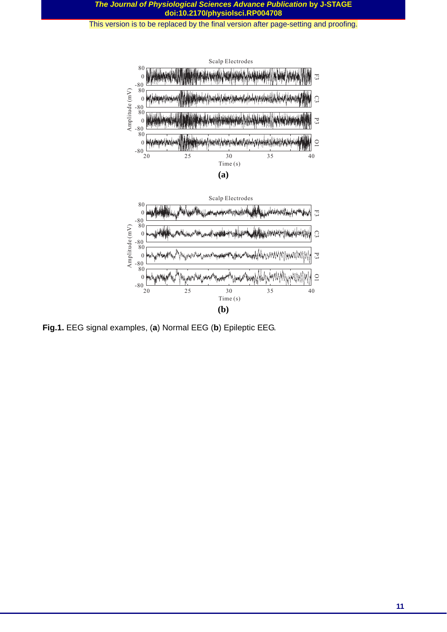

**Fig.1.** EEG signal examples, (**a**) Normal EEG (**b**) Epileptic EEG.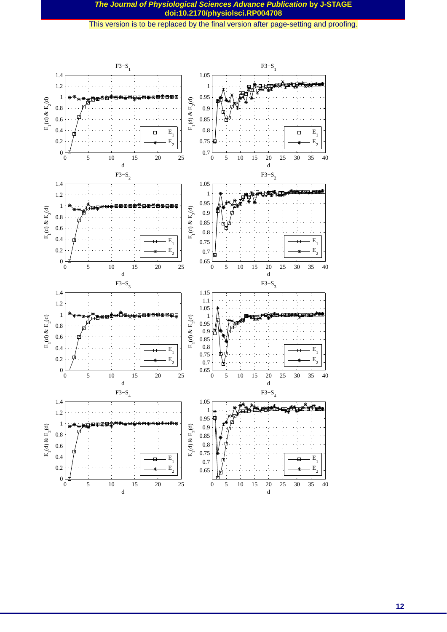This version is to be replaced by the final version after page-setting and proofing.



**12**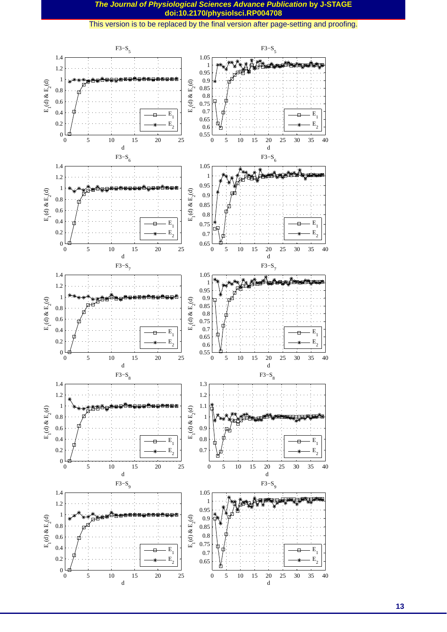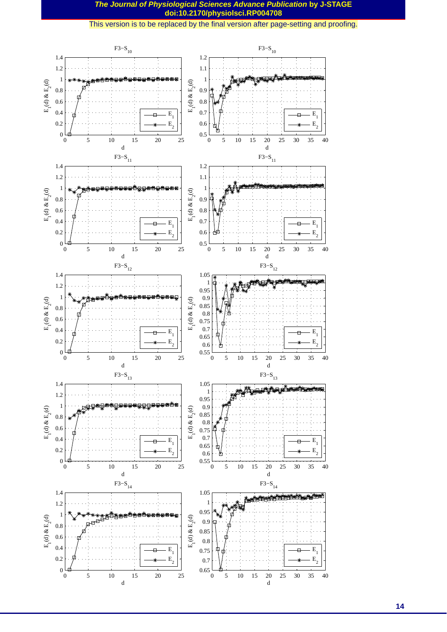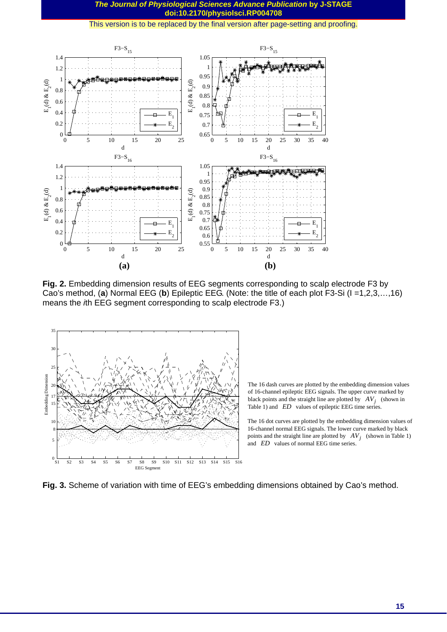*The Journal of Physiological Sciences Advance Publication* **by J-STAGE doi:10.2170/physiolsci.RP004708** 



**Fig. 2.** Embedding dimension results of EEG segments corresponding to scalp electrode F3 by Cao's method, (**a**) Normal EEG (**b**) Epileptic EEG. (Note: the title of each plot F3-Si (I =1,2,3,…,16) means the *i*th EEG segment corresponding to scalp electrode F3.)



The 16 dash curves are plotted by the embedding dimension values of 16-channel epileptic EEG signals. The upper curve marked by black points and the straight line are plotted by  $AV_i$  (shown in Table 1) and *ED* values of epileptic EEG time series.

The 16 dot curves are plotted by the embedding dimension values of 16-channel normal EEG signals. The lower curve marked by black points and the straight line are plotted by  $AV_i$  (shown in Table 1) and *ED* values of normal EEG time series.